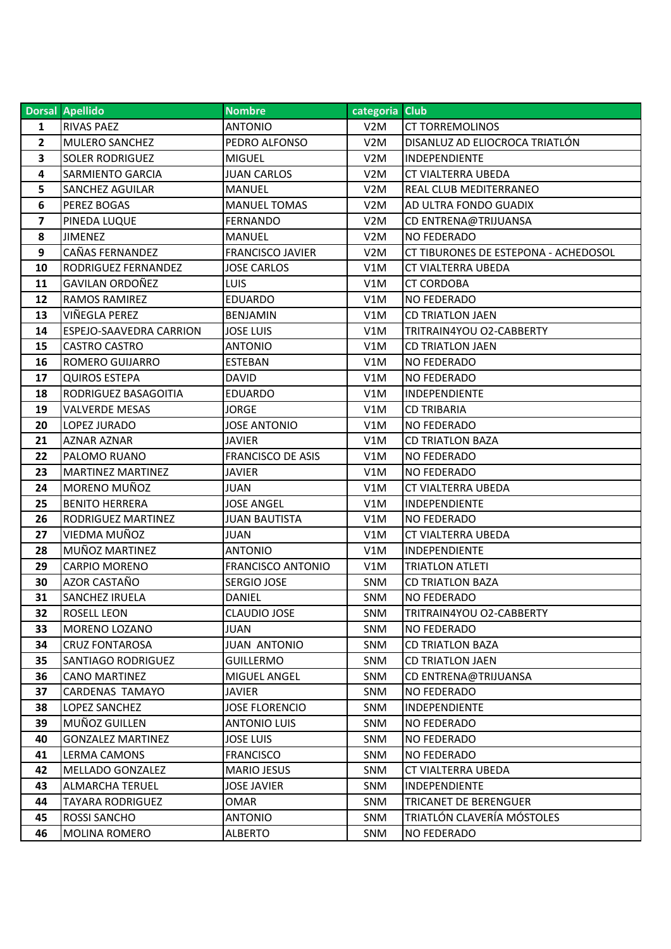|                | Dorsal Apellido                | <b>Nombre</b>            | categoria Club   |                                      |
|----------------|--------------------------------|--------------------------|------------------|--------------------------------------|
| 1              | <b>RIVAS PAEZ</b>              | <b>ANTONIO</b>           | V <sub>2</sub> M | <b>CT TORREMOLINOS</b>               |
| $\overline{2}$ | <b>MULERO SANCHEZ</b>          | PEDRO ALFONSO            | V <sub>2</sub> M | DISANLUZ AD ELIOCROCA TRIATLÓN       |
| 3              | <b>SOLER RODRIGUEZ</b>         | <b>MIGUEL</b>            | V2M              | INDEPENDIENTE                        |
| 4              | <b>SARMIENTO GARCIA</b>        | <b>JUAN CARLOS</b>       | V <sub>2</sub> M | <b>CT VIALTERRA UBEDA</b>            |
| 5              | <b>SANCHEZ AGUILAR</b>         | <b>MANUEL</b>            | V <sub>2</sub> M | REAL CLUB MEDITERRANEO               |
| 6              | PEREZ BOGAS                    | <b>MANUEL TOMAS</b>      | V <sub>2</sub> M | AD ULTRA FONDO GUADIX                |
| 7              | PINEDA LUQUE                   | <b>FERNANDO</b>          | V <sub>2</sub> M | CD ENTRENA@TRIJUANSA                 |
| 8              | <b>JIMENEZ</b>                 | <b>MANUEL</b>            | V2M              | <b>NO FEDERADO</b>                   |
| 9              | CAÑAS FERNANDEZ                | <b>FRANCISCO JAVIER</b>  | V <sub>2</sub> M | CT TIBURONES DE ESTEPONA - ACHEDOSOL |
| 10             | <b>RODRIGUEZ FERNANDEZ</b>     | <b>JOSE CARLOS</b>       | V1M              | CT VIALTERRA UBEDA                   |
| 11             | <b>GAVILAN ORDOÑEZ</b>         | <b>LUIS</b>              | V1M              | <b>CT CORDOBA</b>                    |
| 12             | <b>RAMOS RAMIREZ</b>           | <b>EDUARDO</b>           | V1M              | NO FEDERADO                          |
| 13             | VIÑEGLA PEREZ                  | <b>BENJAMIN</b>          | V1M              | <b>CD TRIATLON JAEN</b>              |
| 14             | <b>ESPEJO-SAAVEDRA CARRION</b> | <b>JOSE LUIS</b>         | V1M              | TRITRAIN4YOU O2-CABBERTY             |
| 15             | <b>CASTRO CASTRO</b>           | <b>ANTONIO</b>           | V1M              | <b>CD TRIATLON JAEN</b>              |
| 16             | <b>ROMERO GUIJARRO</b>         | <b>ESTEBAN</b>           | V1M              | NO FEDERADO                          |
| 17             | <b>QUIROS ESTEPA</b>           | <b>DAVID</b>             | V1M              | <b>NO FEDERADO</b>                   |
| 18             | RODRIGUEZ BASAGOITIA           | <b>EDUARDO</b>           | V1M              | INDEPENDIENTE                        |
| 19             | <b>VALVERDE MESAS</b>          | <b>JORGE</b>             | V1M              | <b>CD TRIBARIA</b>                   |
| 20             | LOPEZ JURADO                   | <b>JOSE ANTONIO</b>      | V1M              | <b>NO FEDERADO</b>                   |
| 21             | <b>AZNAR AZNAR</b>             | <b>JAVIER</b>            | V1M              | <b>CD TRIATLON BAZA</b>              |
| 22             | PALOMO RUANO                   | <b>FRANCISCO DE ASIS</b> | V1M              | NO FEDERADO                          |
| 23             | <b>MARTINEZ MARTINEZ</b>       | <b>JAVIER</b>            | V1M              | <b>NO FEDERADO</b>                   |
| 24             | MORENO MUÑOZ                   | <b>JUAN</b>              | V1M              | CT VIALTERRA UBEDA                   |
| 25             | <b>BENITO HERRERA</b>          | <b>JOSE ANGEL</b>        | V1M              | <b>INDEPENDIENTE</b>                 |
| 26             | RODRIGUEZ MARTINEZ             | <b>JUAN BAUTISTA</b>     | V1M              | NO FEDERADO                          |
| 27             | VIEDMA MUÑOZ                   | <b>JUAN</b>              | V1M              | CT VIALTERRA UBEDA                   |
| 28             | MUÑOZ MARTINEZ                 | <b>ANTONIO</b>           | V1M              | INDEPENDIENTE                        |
| 29             | <b>CARPIO MORENO</b>           | <b>FRANCISCO ANTONIO</b> | V1M              | <b>TRIATLON ATLETI</b>               |
| 30             | AZOR CASTAÑO                   | SERGIO JOSE              | <b>SNM</b>       | <b>CD TRIATLON BAZA</b>              |
| 31             | <b>SANCHEZ IRUELA</b>          | DANIEL                   | <b>SNM</b>       | <b>NO FEDERADO</b>                   |
| 32             | <b>ROSELL LEON</b>             | <b>CLAUDIO JOSE</b>      | SNM              | TRITRAIN4YOU O2-CABBERTY             |
| 33             | <b>MORENO LOZANO</b>           | JUAN                     | <b>SNM</b>       | <b>NO FEDERADO</b>                   |
| 34             | <b>CRUZ FONTAROSA</b>          | <b>JUAN ANTONIO</b>      | <b>SNM</b>       | <b>CD TRIATLON BAZA</b>              |
| 35             | <b>SANTIAGO RODRIGUEZ</b>      | <b>GUILLERMO</b>         | SNM              | <b>CD TRIATLON JAEN</b>              |
| 36             | <b>CANO MARTINEZ</b>           | MIGUEL ANGEL             | <b>SNM</b>       | CD ENTRENA@TRIJUANSA                 |
| 37             | CARDENAS TAMAYO                | JAVIER                   | <b>SNM</b>       | NO FEDERADO                          |
| 38             | LOPEZ SANCHEZ                  | <b>JOSE FLORENCIO</b>    | <b>SNM</b>       | <b>INDEPENDIENTE</b>                 |
| 39             | MUÑOZ GUILLEN                  | <b>ANTONIO LUIS</b>      | <b>SNM</b>       | <b>NO FEDERADO</b>                   |
| 40             | <b>GONZALEZ MARTINEZ</b>       | <b>JOSE LUIS</b>         | <b>SNM</b>       | <b>NO FEDERADO</b>                   |
| 41             | <b>LERMA CAMONS</b>            | <b>FRANCISCO</b>         | <b>SNM</b>       | <b>NO FEDERADO</b>                   |
| 42             | <b>MELLADO GONZALEZ</b>        | <b>MARIO JESUS</b>       | <b>SNM</b>       | CT VIALTERRA UBEDA                   |
| 43             | <b>ALMARCHA TERUEL</b>         | <b>JOSE JAVIER</b>       | <b>SNM</b>       | INDEPENDIENTE                        |
| 44             | <b>TAYARA RODRIGUEZ</b>        | OMAR                     | <b>SNM</b>       | <b>TRICANET DE BERENGUER</b>         |
| 45             | <b>ROSSI SANCHO</b>            | <b>ANTONIO</b>           | <b>SNM</b>       | TRIATLÓN CLAVERÍA MÓSTOLES           |
| 46             | <b>MOLINA ROMERO</b>           | <b>ALBERTO</b>           | SNM              | NO FEDERADO                          |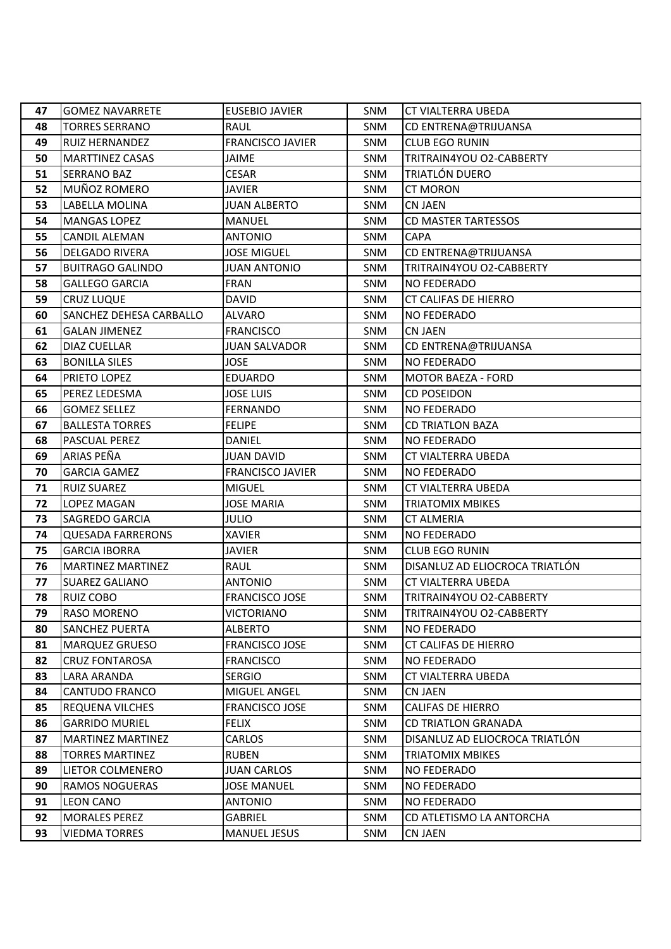| 47 | <b>GOMEZ NAVARRETE</b>   | <b>EUSEBIO JAVIER</b>   | <b>SNM</b> | <b>CT VIALTERRA UBEDA</b>      |
|----|--------------------------|-------------------------|------------|--------------------------------|
| 48 | <b>TORRES SERRANO</b>    | RAUL                    | <b>SNM</b> | CD ENTRENA@TRIJUANSA           |
| 49 | RUIZ HERNANDEZ           | <b>FRANCISCO JAVIER</b> | <b>SNM</b> | <b>CLUB EGO RUNIN</b>          |
| 50 | <b>MARTTINEZ CASAS</b>   | <b>JAIME</b>            | <b>SNM</b> | TRITRAIN4YOU O2-CABBERTY       |
| 51 | <b>SERRANO BAZ</b>       | <b>CESAR</b>            | <b>SNM</b> | TRIATLÓN DUERO                 |
| 52 | MUÑOZ ROMERO             | <b>JAVIER</b>           | <b>SNM</b> | <b>CT MORON</b>                |
| 53 | LABELLA MOLINA           | <b>JUAN ALBERTO</b>     | <b>SNM</b> | <b>CN JAEN</b>                 |
| 54 | <b>MANGAS LOPEZ</b>      | <b>MANUEL</b>           | <b>SNM</b> | <b>CD MASTER TARTESSOS</b>     |
| 55 | <b>CANDIL ALEMAN</b>     | <b>ANTONIO</b>          | SNM        | <b>CAPA</b>                    |
| 56 | <b>DELGADO RIVERA</b>    | <b>JOSE MIGUEL</b>      | <b>SNM</b> | CD ENTRENA@TRIJUANSA           |
| 57 | <b>BUITRAGO GALINDO</b>  | <b>JUAN ANTONIO</b>     | <b>SNM</b> | TRITRAIN4YOU O2-CABBERTY       |
| 58 | <b>GALLEGO GARCIA</b>    | <b>FRAN</b>             | <b>SNM</b> | <b>NO FEDERADO</b>             |
| 59 | <b>CRUZ LUQUE</b>        | <b>DAVID</b>            | <b>SNM</b> | <b>CT CALIFAS DE HIERRO</b>    |
| 60 | SANCHEZ DEHESA CARBALLO  | <b>ALVARO</b>           | <b>SNM</b> | <b>NO FEDERADO</b>             |
| 61 | <b>GALAN JIMENEZ</b>     | <b>FRANCISCO</b>        | SNM        | <b>CN JAEN</b>                 |
| 62 | DIAZ CUELLAR             | <b>JUAN SALVADOR</b>    | <b>SNM</b> | CD ENTRENA@TRIJUANSA           |
| 63 | <b>BONILLA SILES</b>     | <b>JOSE</b>             | <b>SNM</b> | <b>NO FEDERADO</b>             |
| 64 | PRIETO LOPEZ             | <b>EDUARDO</b>          | <b>SNM</b> | <b>MOTOR BAEZA - FORD</b>      |
| 65 | PEREZ LEDESMA            | <b>JOSE LUIS</b>        | <b>SNM</b> | <b>CD POSEIDON</b>             |
| 66 | <b>GOMEZ SELLEZ</b>      | <b>FERNANDO</b>         | <b>SNM</b> | <b>NO FEDERADO</b>             |
| 67 | <b>BALLESTA TORRES</b>   | <b>FELIPE</b>           | SNM        | <b>CD TRIATLON BAZA</b>        |
| 68 | PASCUAL PEREZ            | <b>DANIEL</b>           | <b>SNM</b> | <b>NO FEDERADO</b>             |
| 69 | ARIAS PEÑA               | <b>JUAN DAVID</b>       | <b>SNM</b> | CT VIALTERRA UBEDA             |
| 70 | <b>GARCIA GAMEZ</b>      | <b>FRANCISCO JAVIER</b> | <b>SNM</b> | <b>NO FEDERADO</b>             |
| 71 | <b>RUIZ SUAREZ</b>       | <b>MIGUEL</b>           | <b>SNM</b> | CT VIALTERRA UBEDA             |
| 72 | LOPEZ MAGAN              | <b>JOSE MARIA</b>       | <b>SNM</b> | <b>TRIATOMIX MBIKES</b>        |
| 73 | SAGREDO GARCIA           | <b>JULIO</b>            | <b>SNM</b> | <b>CT ALMERIA</b>              |
| 74 | <b>QUESADA FARRERONS</b> | <b>XAVIER</b>           | <b>SNM</b> | <b>NO FEDERADO</b>             |
| 75 | <b>GARCIA IBORRA</b>     | <b>JAVIER</b>           | SNM        | <b>CLUB EGO RUNIN</b>          |
| 76 | <b>MARTINEZ MARTINEZ</b> | RAUL                    | <b>SNM</b> | DISANLUZ AD ELIOCROCA TRIATLÓN |
| 77 | <b>SUAREZ GALIANO</b>    | <b>ANTONIO</b>          | <b>SNM</b> | <b>CT VIALTERRA UBEDA</b>      |
| 78 | <b>RUIZ COBO</b>         | <b>FRANCISCO JOSE</b>   | <b>SNM</b> | TRITRAIN4YOU O2-CABBERTY       |
| 79 | <b>RASO MORENO</b>       | <b>VICTORIANO</b>       | SNM        | TRITRAIN4YOU O2-CABBERTY       |
| 80 | SANCHEZ PUERTA           | <b>ALBERTO</b>          | <b>SNM</b> | <b>NO FEDERADO</b>             |
| 81 | <b>MARQUEZ GRUESO</b>    | <b>FRANCISCO JOSE</b>   | <b>SNM</b> | CT CALIFAS DE HIERRO           |
| 82 | <b>CRUZ FONTAROSA</b>    | <b>FRANCISCO</b>        | <b>SNM</b> | <b>NO FEDERADO</b>             |
| 83 | LARA ARANDA              | <b>SERGIO</b>           | <b>SNM</b> | CT VIALTERRA UBEDA             |
| 84 | CANTUDO FRANCO           | MIGUEL ANGEL            | <b>SNM</b> | <b>CN JAEN</b>                 |
| 85 | REQUENA VILCHES          | <b>FRANCISCO JOSE</b>   | <b>SNM</b> | <b>CALIFAS DE HIERRO</b>       |
| 86 | <b>GARRIDO MURIEL</b>    | <b>FELIX</b>            | SNM        | <b>CD TRIATLON GRANADA</b>     |
| 87 | <b>MARTINEZ MARTINEZ</b> | <b>CARLOS</b>           | <b>SNM</b> | DISANLUZ AD ELIOCROCA TRIATLÓN |
| 88 | <b>TORRES MARTINEZ</b>   | <b>RUBEN</b>            | <b>SNM</b> | <b>TRIATOMIX MBIKES</b>        |
| 89 | LIETOR COLMENERO         | <b>JUAN CARLOS</b>      | <b>SNM</b> | <b>NO FEDERADO</b>             |
| 90 | RAMOS NOGUERAS           | <b>JOSE MANUEL</b>      | <b>SNM</b> | <b>NO FEDERADO</b>             |
| 91 | <b>LEON CANO</b>         | <b>ANTONIO</b>          | SNM        | NO FEDERADO                    |
| 92 | <b>MORALES PEREZ</b>     | <b>GABRIEL</b>          | <b>SNM</b> | CD ATLETISMO LA ANTORCHA       |
| 93 | <b>VIEDMA TORRES</b>     | <b>MANUEL JESUS</b>     | SNM        | <b>CN JAEN</b>                 |